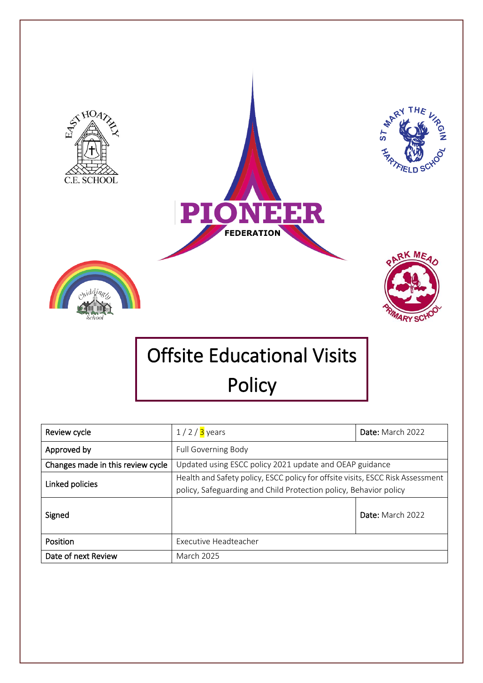

Date of next Review March 2025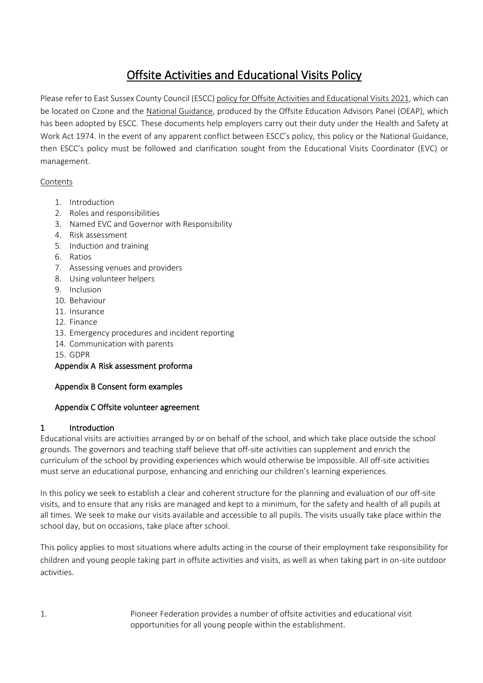# Offsite Activities and Educational Visits Policy

Please refer to East Sussex County Council (ESCC) [policy for Offsite Activities and Educational Visits](file:///C:/Users/jprocter/Templates/ESCC%20Policy/ESCC%20Offsite%20Visits%20Policy%202021.pdf) 2021, which can be located on Czone and the [National Guidance,](http://oeapng.info/) produced by the Offsite Education Advisors Panel (OEAP), which has been adopted by ESCC. These documents help employers carry out their duty under the Health and Safety at Work Act 1974. In the event of any apparent conflict between ESCC's policy, this policy or the National Guidance, then ESCC's policy must be followed and clarification sought from the Educational Visits Coordinator (EVC) or management.

#### Contents

- 1. Introduction
- 2. Roles and responsibilities
- 3. Named EVC and Governor with Responsibility
- 4. Risk assessment
- 5. Induction and training
- 6. Ratios
- 7. Assessing venues and providers
- 8. Using volunteer helpers
- 9. Inclusion
- 10. Behaviour
- 11. Insurance
- 12. Finance
- 13. Emergency procedures and incident reporting
- 14. Communication with parents
- 15. GDPR

## Appendix A Risk assessment proforma

#### Appendix B Consent form examples

#### Appendix C Offsite volunteer agreement

#### 1 Introduction

Educational visits are activities arranged by or on behalf of the school, and which take place outside the school grounds. The governors and teaching staff believe that off-site activities can supplement and enrich the curriculum of the school by providing experiences which would otherwise be impossible. All off-site activities must serve an educational purpose, enhancing and enriching our children's learning experiences.

In this policy we seek to establish a clear and coherent structure for the planning and evaluation of our off-site visits, and to ensure that any risks are managed and kept to a minimum, for the safety and health of all pupils at all times. We seek to make our visits available and accessible to all pupils. The visits usually take place within the school day, but on occasions, take place after school.

This policy applies to most situations where adults acting in the course of their employment take responsibility for children and young people taking part in offsite activities and visits, as well as when taking part in on-site outdoor activities.

1. Pioneer Federation provides a number of offsite activities and educational visit opportunities for all young people within the establishment.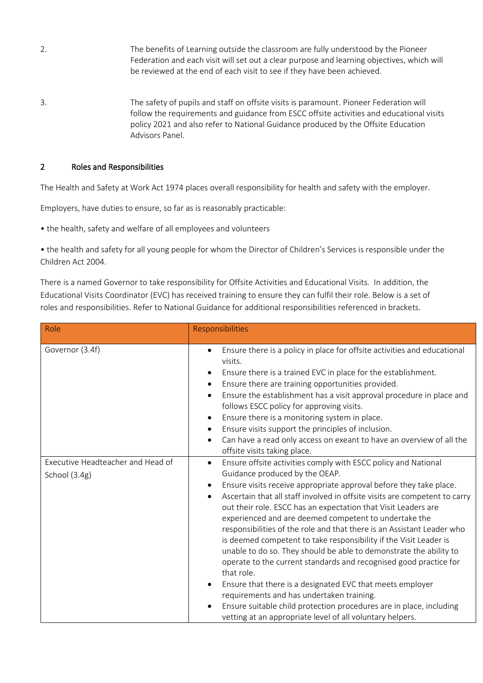- 2. The benefits of Learning outside the classroom are fully understood by the Pioneer Federation and each visit will set out a clear purpose and learning objectives, which will be reviewed at the end of each visit to see if they have been achieved.
- 3. The safety of pupils and staff on offsite visits is paramount. Pioneer Federation will follow the requirements and guidance from ESCC offsite activities and educational visits policy 2021 and also refer to National Guidance produced by the Offsite Education Advisors Panel.

#### 2 Roles and Responsibilities

The Health and Safety at Work Act 1974 places overall responsibility for health and safety with the employer.

Employers, have duties to ensure, so far as is reasonably practicable:

• the health, safety and welfare of all employees and volunteers

• the health and safety for all young people for whom the Director of Children's Services is responsible under the Children Act 2004.

There is a named Governor to take responsibility for Offsite Activities and Educational Visits. In addition, the Educational Visits Coordinator (EVC) has received training to ensure they can fulfil their role. Below is a set of roles and responsibilities. Refer to National Guidance for additional responsibilities referenced in brackets.

| Role                                               | Responsibilities                                                                                                                                                                                                                                                                                                                                                                                                                                                                                                                                                                                                                                                                                                                                                                                                                                                                                                                                                |  |  |
|----------------------------------------------------|-----------------------------------------------------------------------------------------------------------------------------------------------------------------------------------------------------------------------------------------------------------------------------------------------------------------------------------------------------------------------------------------------------------------------------------------------------------------------------------------------------------------------------------------------------------------------------------------------------------------------------------------------------------------------------------------------------------------------------------------------------------------------------------------------------------------------------------------------------------------------------------------------------------------------------------------------------------------|--|--|
| Governor (3.4f)                                    | Ensure there is a policy in place for offsite activities and educational<br>$\bullet$<br>visits.<br>Ensure there is a trained EVC in place for the establishment.<br>$\bullet$<br>Ensure there are training opportunities provided.<br>$\bullet$<br>Ensure the establishment has a visit approval procedure in place and<br>follows ESCC policy for approving visits.<br>Ensure there is a monitoring system in place.<br>$\bullet$<br>Ensure visits support the principles of inclusion.<br>$\bullet$<br>Can have a read only access on exeant to have an overview of all the<br>$\bullet$<br>offsite visits taking place.                                                                                                                                                                                                                                                                                                                                     |  |  |
| Executive Headteacher and Head of<br>School (3.4g) | Ensure offsite activities comply with ESCC policy and National<br>$\bullet$<br>Guidance produced by the OEAP.<br>Ensure visits receive appropriate approval before they take place.<br>$\bullet$<br>Ascertain that all staff involved in offsite visits are competent to carry<br>out their role. ESCC has an expectation that Visit Leaders are<br>experienced and are deemed competent to undertake the<br>responsibilities of the role and that there is an Assistant Leader who<br>is deemed competent to take responsibility if the Visit Leader is<br>unable to do so. They should be able to demonstrate the ability to<br>operate to the current standards and recognised good practice for<br>that role.<br>Ensure that there is a designated EVC that meets employer<br>requirements and has undertaken training.<br>Ensure suitable child protection procedures are in place, including<br>vetting at an appropriate level of all voluntary helpers. |  |  |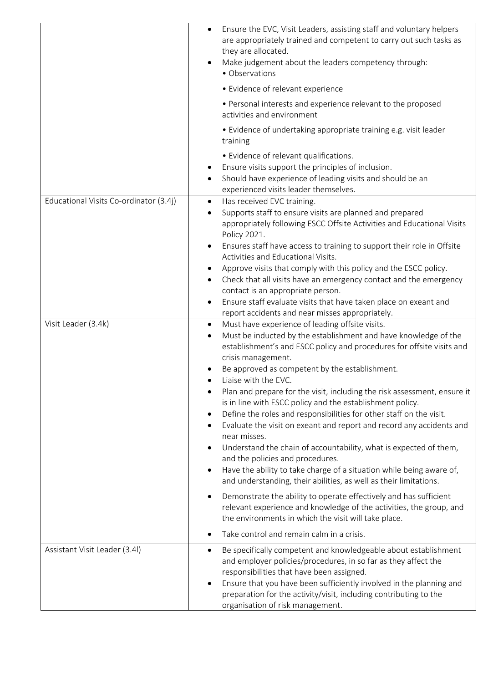|                                        | Ensure the EVC, Visit Leaders, assisting staff and voluntary helpers<br>are appropriately trained and competent to carry out such tasks as<br>they are allocated.<br>Make judgement about the leaders competency through:<br>• Observations                                                                                                                                                                                                                                                                                                                                                                                                                                                                                                                                                                                                                                                                                                                                                                                                                                                          |
|----------------------------------------|------------------------------------------------------------------------------------------------------------------------------------------------------------------------------------------------------------------------------------------------------------------------------------------------------------------------------------------------------------------------------------------------------------------------------------------------------------------------------------------------------------------------------------------------------------------------------------------------------------------------------------------------------------------------------------------------------------------------------------------------------------------------------------------------------------------------------------------------------------------------------------------------------------------------------------------------------------------------------------------------------------------------------------------------------------------------------------------------------|
|                                        | • Evidence of relevant experience                                                                                                                                                                                                                                                                                                                                                                                                                                                                                                                                                                                                                                                                                                                                                                                                                                                                                                                                                                                                                                                                    |
|                                        | • Personal interests and experience relevant to the proposed<br>activities and environment                                                                                                                                                                                                                                                                                                                                                                                                                                                                                                                                                                                                                                                                                                                                                                                                                                                                                                                                                                                                           |
|                                        | • Evidence of undertaking appropriate training e.g. visit leader<br>training                                                                                                                                                                                                                                                                                                                                                                                                                                                                                                                                                                                                                                                                                                                                                                                                                                                                                                                                                                                                                         |
|                                        | • Evidence of relevant qualifications.<br>Ensure visits support the principles of inclusion.<br>Should have experience of leading visits and should be an<br>experienced visits leader themselves.                                                                                                                                                                                                                                                                                                                                                                                                                                                                                                                                                                                                                                                                                                                                                                                                                                                                                                   |
| Educational Visits Co-ordinator (3.4j) | Has received EVC training.<br>$\bullet$<br>Supports staff to ensure visits are planned and prepared<br>appropriately following ESCC Offsite Activities and Educational Visits<br>Policy 2021.<br>Ensures staff have access to training to support their role in Offsite<br>$\bullet$<br>Activities and Educational Visits.<br>Approve visits that comply with this policy and the ESCC policy.<br>Check that all visits have an emergency contact and the emergency<br>$\bullet$<br>contact is an appropriate person.<br>Ensure staff evaluate visits that have taken place on exeant and<br>report accidents and near misses appropriately.                                                                                                                                                                                                                                                                                                                                                                                                                                                         |
| Visit Leader (3.4k)                    | Must have experience of leading offsite visits.<br>$\bullet$<br>Must be inducted by the establishment and have knowledge of the<br>$\bullet$<br>establishment's and ESCC policy and procedures for offsite visits and<br>crisis management.<br>Be approved as competent by the establishment.<br>Liaise with the EVC.<br>Plan and prepare for the visit, including the risk assessment, ensure it<br>is in line with ESCC policy and the establishment policy.<br>Define the roles and responsibilities for other staff on the visit.<br>Evaluate the visit on exeant and report and record any accidents and<br>near misses.<br>Understand the chain of accountability, what is expected of them,<br>and the policies and procedures.<br>Have the ability to take charge of a situation while being aware of,<br>$\bullet$<br>and understanding, their abilities, as well as their limitations.<br>Demonstrate the ability to operate effectively and has sufficient<br>relevant experience and knowledge of the activities, the group, and<br>the environments in which the visit will take place. |
|                                        | Take control and remain calm in a crisis.                                                                                                                                                                                                                                                                                                                                                                                                                                                                                                                                                                                                                                                                                                                                                                                                                                                                                                                                                                                                                                                            |
| Assistant Visit Leader (3.4l)          | Be specifically competent and knowledgeable about establishment<br>٠<br>and employer policies/procedures, in so far as they affect the<br>responsibilities that have been assigned.<br>Ensure that you have been sufficiently involved in the planning and<br>preparation for the activity/visit, including contributing to the<br>organisation of risk management.                                                                                                                                                                                                                                                                                                                                                                                                                                                                                                                                                                                                                                                                                                                                  |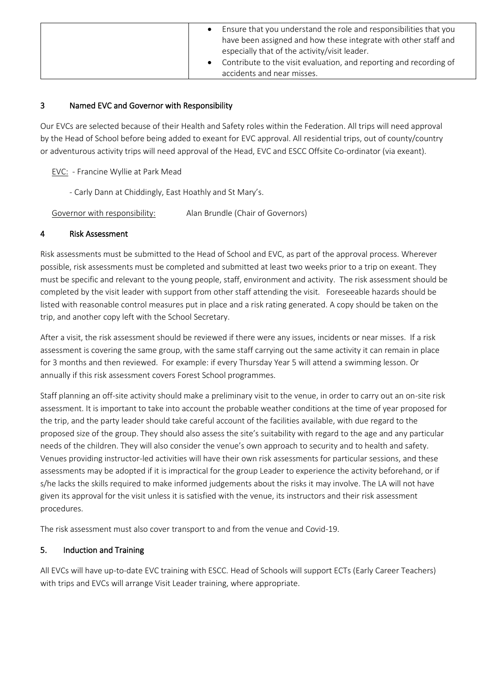| Ensure that you understand the role and responsibilities that you<br>have been assigned and how these integrate with other staff and<br>especially that of the activity/visit leader. |
|---------------------------------------------------------------------------------------------------------------------------------------------------------------------------------------|
| Contribute to the visit evaluation, and reporting and recording of<br>accidents and near misses.                                                                                      |

## 3 Named EVC and Governor with Responsibility

Our EVCs are selected because of their Health and Safety roles within the Federation. All trips will need approval by the Head of School before being added to exeant for EVC approval. All residential trips, out of county/country or adventurous activity trips will need approval of the Head, EVC and ESCC Offsite Co-ordinator (via exeant).

EVC: - Francine Wyllie at Park Mead

- Carly Dann at Chiddingly, East Hoathly and St Mary's.

Governor with responsibility: Alan Brundle (Chair of Governors)

#### 4 Risk Assessment

Risk assessments must be submitted to the Head of School and EVC, as part of the approval process. Wherever possible, risk assessments must be completed and submitted at least two weeks prior to a trip on exeant. They must be specific and relevant to the young people, staff, environment and activity. The risk assessment should be completed by the visit leader with support from other staff attending the visit. Foreseeable hazards should be listed with reasonable control measures put in place and a risk rating generated. A copy should be taken on the trip, and another copy left with the School Secretary.

After a visit, the risk assessment should be reviewed if there were any issues, incidents or near misses. If a risk assessment is covering the same group, with the same staff carrying out the same activity it can remain in place for 3 months and then reviewed. For example: if every Thursday Year 5 will attend a swimming lesson. Or annually if this risk assessment covers Forest School programmes.

Staff planning an off-site activity should make a preliminary visit to the venue, in order to carry out an on-site risk assessment. It is important to take into account the probable weather conditions at the time of year proposed for the trip, and the party leader should take careful account of the facilities available, with due regard to the proposed size of the group. They should also assess the site's suitability with regard to the age and any particular needs of the children. They will also consider the venue's own approach to security and to health and safety. Venues providing instructor-led activities will have their own risk assessments for particular sessions, and these assessments may be adopted if it is impractical for the group Leader to experience the activity beforehand, or if s/he lacks the skills required to make informed judgements about the risks it may involve. The LA will not have given its approval for the visit unless it is satisfied with the venue, its instructors and their risk assessment procedures.

The risk assessment must also cover transport to and from the venue and Covid-19.

#### 5. Induction and Training

All EVCs will have up-to-date EVC training with ESCC. Head of Schools will support ECTs (Early Career Teachers) with trips and EVCs will arrange Visit Leader training, where appropriate.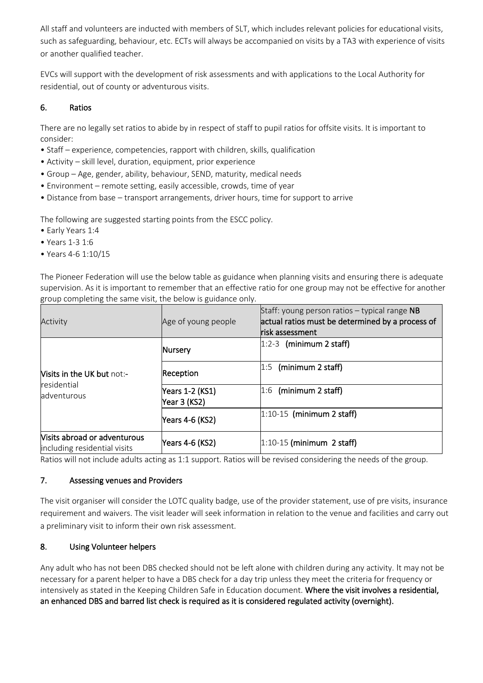All staff and volunteers are inducted with members of SLT, which includes relevant policies for educational visits, such as safeguarding, behaviour, etc. ECTs will always be accompanied on visits by a TA3 with experience of visits or another qualified teacher.

EVCs will support with the development of risk assessments and with applications to the Local Authority for residential, out of county or adventurous visits.

## 6. Ratios

There are no legally set ratios to abide by in respect of staff to pupil ratios for offsite visits. It is important to consider:

- Staff experience, competencies, rapport with children, skills, qualification
- Activity skill level, duration, equipment, prior experience
- Group Age, gender, ability, behaviour, SEND, maturity, medical needs
- Environment remote setting, easily accessible, crowds, time of year
- Distance from base transport arrangements, driver hours, time for support to arrive

The following are suggested starting points from the ESCC policy.

- Early Years 1:4
- Years 1-3 1:6
- Years 4-6 1:10/15

The Pioneer Federation will use the below table as guidance when planning visits and ensuring there is adequate supervision. As it is important to remember that an effective ratio for one group may not be effective for another group completing the same visit, the below is guidance only.

| Activity                                                        | Age of young people             | Staff: young person ratios $-$ typical range NB<br>actual ratios must be determined by a process of<br>lrisk assessment |
|-----------------------------------------------------------------|---------------------------------|-------------------------------------------------------------------------------------------------------------------------|
| <b>Nisits in the UK but not:-</b><br>residential<br>adventurous | Nursery                         | $ 1:2-3$ (minimum 2 staff)                                                                                              |
|                                                                 | Reception                       | (minimum 2 staff)<br>1:5                                                                                                |
|                                                                 | Years 1-2 (KS1)<br>Year 3 (KS2) | $ 1:6$ (minimum 2 staff)                                                                                                |
|                                                                 | Years 4-6 (KS2)                 | $ 1:10-15$ (minimum 2 staff)                                                                                            |
| Visits abroad or adventurous<br>including residential visits    | Years 4-6 (KS2)                 | $ 1:10-15$ (minimum 2 staff)                                                                                            |

Ratios will not include adults acting as 1:1 support. Ratios will be revised considering the needs of the group.

## 7. Assessing venues and Providers

The visit organiser will consider the LOTC quality badge, use of the provider statement, use of pre visits, insurance requirement and waivers. The visit leader will seek information in relation to the venue and facilities and carry out a preliminary visit to inform their own risk assessment.

## 8. Using Volunteer helpers

Any adult who has not been DBS checked should not be left alone with children during any activity. It may not be necessary for a parent helper to have a DBS check for a day trip unless they meet the criteria for frequency or intensively as stated in the Keeping Children Safe in Education document. Where the visit involves a residential, an enhanced DBS and barred list check is required as it is considered regulated activity (overnight).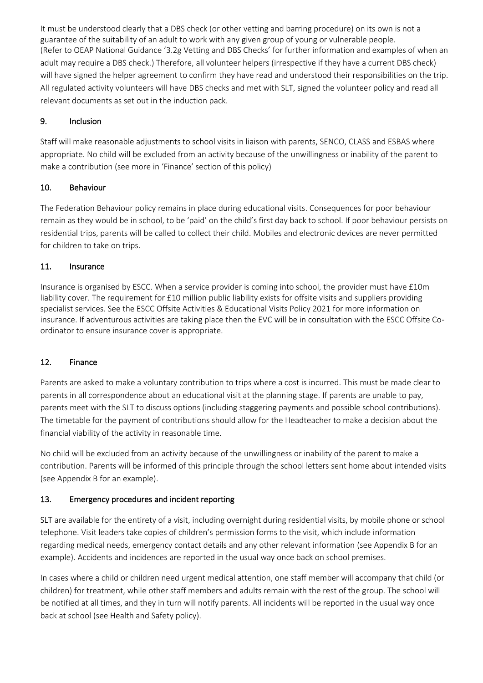It must be understood clearly that a DBS check (or other vetting and barring procedure) on its own is not a guarantee of the suitability of an adult to work with any given group of young or vulnerable people. (Refer to OEAP National Guidance '3.2g Vetting and DBS Checks' for further information and examples of when an adult may require a DBS check.) Therefore, all volunteer helpers (irrespective if they have a current DBS check) will have signed the helper agreement to confirm they have read and understood their responsibilities on the trip. All regulated activity volunteers will have DBS checks and met with SLT, signed the volunteer policy and read all relevant documents as set out in the induction pack.

## 9. Inclusion

Staff will make reasonable adjustments to school visits in liaison with parents, SENCO, CLASS and ESBAS where appropriate. No child will be excluded from an activity because of the unwillingness or inability of the parent to make a contribution (see more in 'Finance' section of this policy)

## 10. Behaviour

The Federation Behaviour policy remains in place during educational visits. Consequences for poor behaviour remain as they would be in school, to be 'paid' on the child's first day back to school. If poor behaviour persists on residential trips, parents will be called to collect their child. Mobiles and electronic devices are never permitted for children to take on trips.

## 11. Insurance

Insurance is organised by ESCC. When a service provider is coming into school, the provider must have £10m liability cover. The requirement for £10 million public liability exists for offsite visits and suppliers providing specialist services. See the ESCC Offsite Activities & Educational Visits Policy 2021 for more information on insurance. If adventurous activities are taking place then the EVC will be in consultation with the ESCC Offsite Coordinator to ensure insurance cover is appropriate.

# 12. Finance

Parents are asked to make a voluntary contribution to trips where a cost is incurred. This must be made clear to parents in all correspondence about an educational visit at the planning stage. If parents are unable to pay, parents meet with the SLT to discuss options (including staggering payments and possible school contributions). The timetable for the payment of contributions should allow for the Headteacher to make a decision about the financial viability of the activity in reasonable time.

No child will be excluded from an activity because of the unwillingness or inability of the parent to make a contribution. Parents will be informed of this principle through the school letters sent home about intended visits (see Appendix B for an example).

## 13. Emergency procedures and incident reporting

SLT are available for the entirety of a visit, including overnight during residential visits, by mobile phone or school telephone. Visit leaders take copies of children's permission forms to the visit, which include information regarding medical needs, emergency contact details and any other relevant information (see Appendix B for an example). Accidents and incidences are reported in the usual way once back on school premises.

In cases where a child or children need urgent medical attention, one staff member will accompany that child (or children) for treatment, while other staff members and adults remain with the rest of the group. The school will be notified at all times, and they in turn will notify parents. All incidents will be reported in the usual way once back at school (see Health and Safety policy).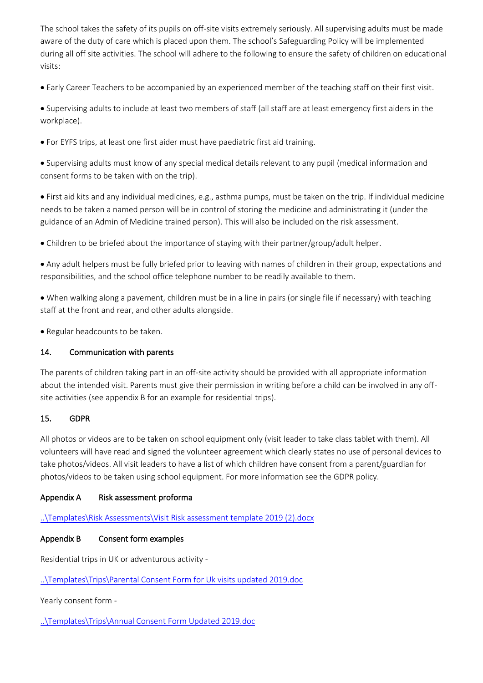The school takes the safety of its pupils on off-site visits extremely seriously. All supervising adults must be made aware of the duty of care which is placed upon them. The school's Safeguarding Policy will be implemented during all off site activities. The school will adhere to the following to ensure the safety of children on educational visits:

• Early Career Teachers to be accompanied by an experienced member of the teaching staff on their first visit.

• Supervising adults to include at least two members of staff (all staff are at least emergency first aiders in the workplace).

• For EYFS trips, at least one first aider must have paediatric first aid training.

• Supervising adults must know of any special medical details relevant to any pupil (medical information and consent forms to be taken with on the trip).

• First aid kits and any individual medicines, e.g., asthma pumps, must be taken on the trip. If individual medicine needs to be taken a named person will be in control of storing the medicine and administrating it (under the guidance of an Admin of Medicine trained person). This will also be included on the risk assessment.

• Children to be briefed about the importance of staying with their partner/group/adult helper.

• Any adult helpers must be fully briefed prior to leaving with names of children in their group, expectations and responsibilities, and the school office telephone number to be readily available to them.

• When walking along a pavement, children must be in a line in pairs (or single file if necessary) with teaching staff at the front and rear, and other adults alongside.

• Regular headcounts to be taken.

#### 14. Communication with parents

The parents of children taking part in an off-site activity should be provided with all appropriate information about the intended visit. Parents must give their permission in writing before a child can be involved in any offsite activities (see appendix B for an example for residential trips).

#### 15. GDPR

All photos or videos are to be taken on school equipment only (visit leader to take class tablet with them). All volunteers will have read and signed the volunteer agreement which clearly states no use of personal devices to take photos/videos. All visit leaders to have a list of which children have consent from a parent/guardian for photos/videos to be taken using school equipment. For more information see the GDPR policy.

## Appendix A Risk assessment proforma

[..\Templates\Risk Assessments\Visit Risk assessment template 2019 \(2\).docx](file:///C:/Users/jprocter/Templates/Risk%20Assessments/Visit%20Risk%20assessment%20template%202019%20(2).docx)

## Appendix B Consent form examples

Residential trips in UK or adventurous activity -

[..\Templates\Trips\Parental Consent Form for Uk visits updated 2019.doc](file:///C:/Users/jprocter/Templates/Trips/Parental%20Consent%20Form%20for%20Uk%20visits%20updated%202019.doc)

Yearly consent form -

[..\Templates\Trips\Annual Consent Form Updated 2019.doc](file:///C:/Users/jprocter/Templates/Trips/Annual%20Consent%20Form%20Updated%202019.doc)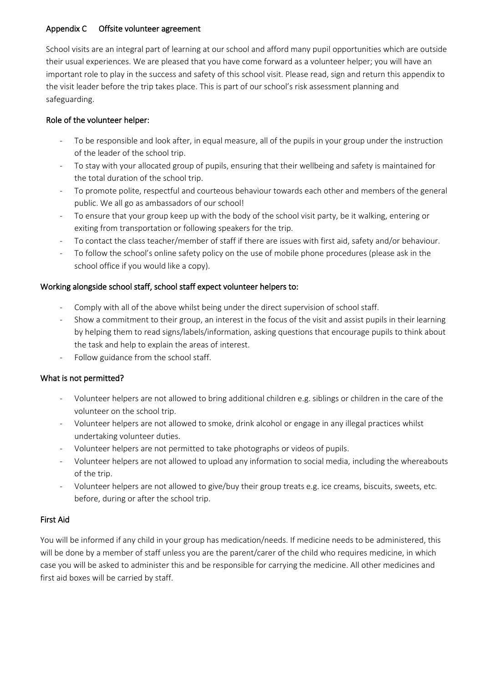#### Appendix C Offsite volunteer agreement

School visits are an integral part of learning at our school and afford many pupil opportunities which are outside their usual experiences. We are pleased that you have come forward as a volunteer helper; you will have an important role to play in the success and safety of this school visit. Please read, sign and return this appendix to the visit leader before the trip takes place. This is part of our school's risk assessment planning and safeguarding.

#### Role of the volunteer helper:

- To be responsible and look after, in equal measure, all of the pupils in your group under the instruction of the leader of the school trip.
- To stay with your allocated group of pupils, ensuring that their wellbeing and safety is maintained for the total duration of the school trip.
- To promote polite, respectful and courteous behaviour towards each other and members of the general public. We all go as ambassadors of our school!
- To ensure that your group keep up with the body of the school visit party, be it walking, entering or exiting from transportation or following speakers for the trip.
- To contact the class teacher/member of staff if there are issues with first aid, safety and/or behaviour.
- To follow the school's online safety policy on the use of mobile phone procedures (please ask in the school office if you would like a copy).

## Working alongside school staff, school staff expect volunteer helpers to:

- Comply with all of the above whilst being under the direct supervision of school staff.
- Show a commitment to their group, an interest in the focus of the visit and assist pupils in their learning by helping them to read signs/labels/information, asking questions that encourage pupils to think about the task and help to explain the areas of interest.
- Follow guidance from the school staff.

## What is not permitted?

- Volunteer helpers are not allowed to bring additional children e.g. siblings or children in the care of the volunteer on the school trip.
- Volunteer helpers are not allowed to smoke, drink alcohol or engage in any illegal practices whilst undertaking volunteer duties.
- Volunteer helpers are not permitted to take photographs or videos of pupils.
- Volunteer helpers are not allowed to upload any information to social media, including the whereabouts of the trip.
- Volunteer helpers are not allowed to give/buy their group treats e.g. ice creams, biscuits, sweets, etc. before, during or after the school trip.

## First Aid

You will be informed if any child in your group has medication/needs. If medicine needs to be administered, this will be done by a member of staff unless you are the parent/carer of the child who requires medicine, in which case you will be asked to administer this and be responsible for carrying the medicine. All other medicines and first aid boxes will be carried by staff.